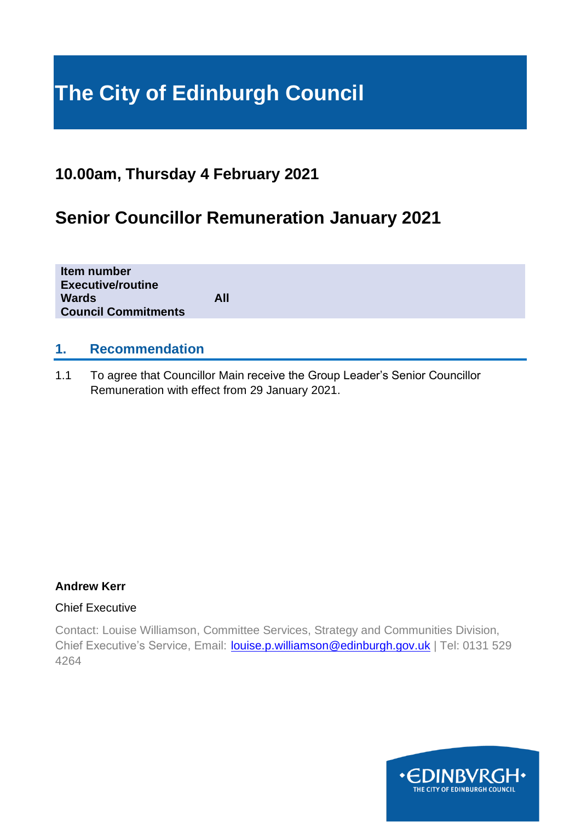# **The City of Edinburgh Council**

## **10.00am, Thursday 4 February 2021**

# **Senior Councillor Remuneration January 2021**

| Item number<br><b>Executive/routine</b><br><b>Wards</b><br><b>Council Commitments</b> | All |
|---------------------------------------------------------------------------------------|-----|
|                                                                                       |     |

#### **1. Recommendation**

1.1 To agree that Councillor Main receive the Group Leader's Senior Councillor Remuneration with effect from 29 January 2021.

#### **Andrew Kerr**

#### Chief Executive

Contact: Louise Williamson, Committee Services, Strategy and Communities Division, Chief Executive's Service, Email: **[louise.p.williamson@edinburgh.gov.uk](mailto:louise.p.williamson@edinburgh.gov.uk)** | Tel: 0131 529 4264

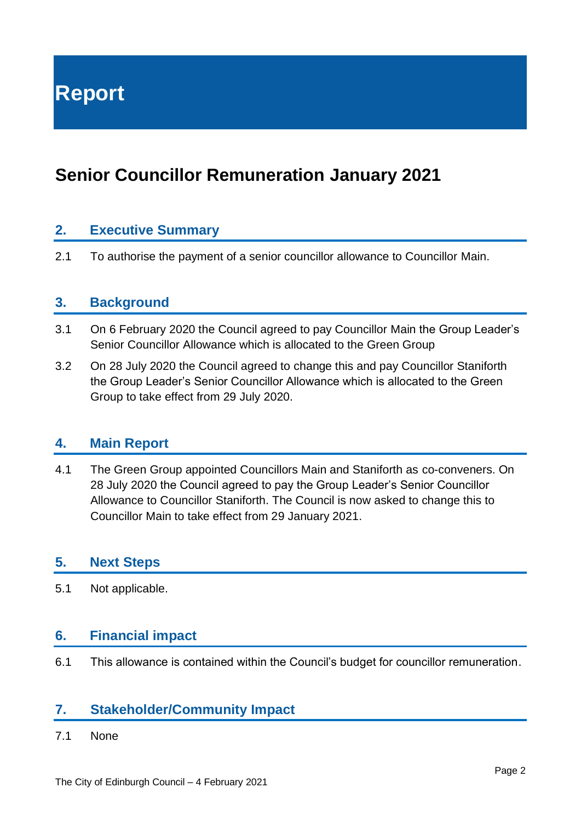**Report**

# **Senior Councillor Remuneration January 2021**

#### **2. Executive Summary**

2.1 To authorise the payment of a senior councillor allowance to Councillor Main.

#### **3. Background**

- 3.1 On 6 February 2020 the Council agreed to pay Councillor Main the Group Leader's Senior Councillor Allowance which is allocated to the Green Group
- 3.2 On 28 July 2020 the Council agreed to change this and pay Councillor Staniforth the Group Leader's Senior Councillor Allowance which is allocated to the Green Group to take effect from 29 July 2020.

#### **4. Main Report**

4.1 The Green Group appointed Councillors Main and Staniforth as co-conveners. On 28 July 2020 the Council agreed to pay the Group Leader's Senior Councillor Allowance to Councillor Staniforth. The Council is now asked to change this to Councillor Main to take effect from 29 January 2021.

#### **5. Next Steps**

5.1 Not applicable.

#### **6. Financial impact**

6.1 This allowance is contained within the Council's budget for councillor remuneration.

#### **7. Stakeholder/Community Impact**

7.1 None